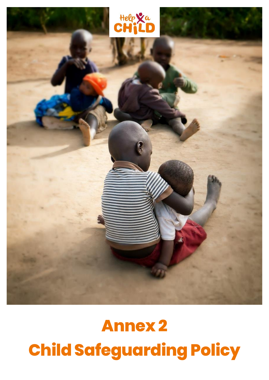

# **Annex 2 Child Safeguarding Policy**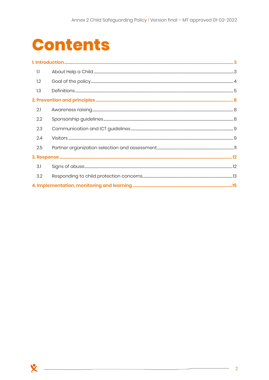# **Contents**

**X** 

| 1.1 |  |
|-----|--|
| 1.2 |  |
| 1.3 |  |
|     |  |
| 2.1 |  |
| 2.2 |  |
| 2.3 |  |
| 2.4 |  |
| 2.5 |  |
|     |  |
| 3.1 |  |
| 3.2 |  |
|     |  |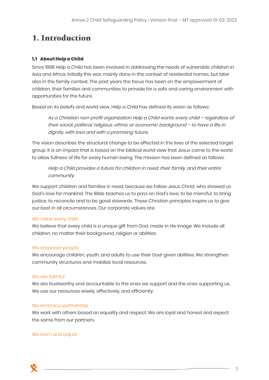# <span id="page-2-0"></span>**1. Introduction**

## <span id="page-2-1"></span>1.1 About Help a Child

Since 1968 Help a Child has been involved in addressing the needs of vulnerable children in Asia and Africa. Initially this was mainly done in the context of residential homes, but later also in the family context. The past years the focus has been on the empowerment of children, their families and communities to provide for a safe and caring environment with opportunities for the future.

Based on its beliefs and world view, Help a Child has defined its vision as follows:

As a Christian non-profit organization Help a Child wants every child – regardless of their social, political, religious, ethnic or economic background – to have a life in dignity, with love and with a promising future.

The vision describes the structural change to be effected in the lives of the selected target group. It is an impact that is based on the biblical world view that Jesus came to the world to allow fullness of life for every human being. The mission has been defined as follows:

Help a Child provides a future for children in need, their family, and their entire community.

We support children and families in need, because we follow Jesus Christ, who showed us God's love for mankind. The Bible teaches us to pass on God's love, to be merciful, to bring justice, to reconcile and to be good stewards. These Christian principles inspire us to give our best in all circumstances. Our corporate values are:

## We value every child

We believe that every child is a unique gift from God, made in His image. We include all children, no matter their background, religion or abilities.

## We empower people

We encourage children, youth, and adults to use their God-given abilities. We strengthen community structures and mobilize local resources.

#### We are faithful

We are trustworthy and accountable to the ones we support and the ones supporting us. We use our resources wisely, effectively, and efficiently.

#### We embrace partnership

We work with others based on equality and respect. We are loyal and honest and expect the same from our partners.

#### We learn and adjust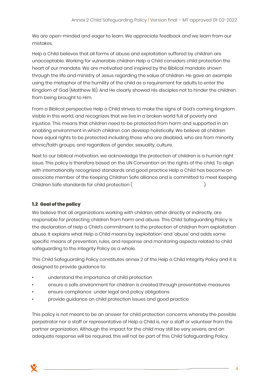We are open-minded and eager to learn. We appreciate feedback and we learn from our mistakes.

Help a Child believes that all forms of abuse and exploitation suffered by children are unacceptable. Working for vulnerable children Help a Child considers child protection the heart of our mandate. We are motivated and inspired by the Biblical mandate shown through the life and ministry of Jesus regarding the value of children. He gave an example using the metaphor of the humility of the child as a requirement for adults to enter the Kingdom of God (Matthew 18). And He clearly showed His disciples not to hinder the children from being brought to Him.

From a Biblical perspective Help a Child strives to make the signs of God's coming Kingdom visible in this world, and recognizes that we live in a broken world full of poverty and injustice. This means that children need to be protected from harm and supported in an enabling environment in which children can develop holistically. We believe all children have equal rights to be protected including those who are disabled, who are from minority ethnic/faith groups, and regardless of gender, sexuality, culture.

Next to our biblical motivation, we acknowledge the protection of children is a human right issue. This policy is therefore based on the UN Convention on the rights of the child. To align with internationally recognized standards and good practice Help a Child has become an associate member of the Keeping Children Safe alliance and is committed to meet Keeping Children Safe standards for child protection ( $\hspace{2cm}$ ).

## <span id="page-3-0"></span>1.2 Goal of the policy

We believe that all organizations working with children, either directly or indirectly, are responsible for protecting children from harm and abuse. This Child Safeguarding Policy is the declaration of Help a Child's commitment to the protection of children from exploitation abuse. It explains what Help a Child means by 'exploitation' and 'abuse' and adds some specific means of prevention, rules, and response and monitoring aspects related to child safeguarding to the Integrity Policy as a whole.

This Child Safeguarding Policy constitutes annex 2 of the Help a Child Integrity Policy and it is designed to provide guidance to:

- understand the importance of child protection
- ensure a safe environment for children is created through preventative measures
- ensure compliance under legal and policy obligations
- provide guidance on child protection issues and good practice

This policy is not meant to be an answer for child protection concerns whereby the possible perpetrator nor a staff or representative of Help a Child is, nor a staff or volunteer from the partner organization. Although the impact for the child may still be very severe, and an adequate response will be required, this will not be part of this Child Safeguarding Policy.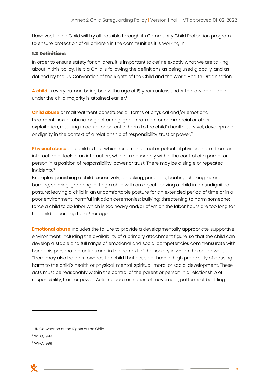However, Help a Child will try all possible through its Community Child Protection program to ensure protection of all children in the communities it is working in.

### <span id="page-4-0"></span>**1.3 Definitions**

In order to ensure safety for children, it is important to define exactly what we are talking about in this policy. Help a Child is following the definitions as being used globally, and as defined by the UN Convention of the Rights of the Child and the World Health Organization.

**A child** is every human being below the age of 18 years unless under the law applicable under the child majority is attained earlier.<sup>1</sup>

**Child abuse** or maltreatment constitutes all forms of physical and/or emotional illtreatment, sexual abuse, neglect or negligent treatment or commercial or other exploitation, resulting in actual or potential harm to the child's health, survival, development or dignity in the context of a relationship of responsibility, trust or power.<sup>2</sup>

**Physical abuse** of a child is that which results in actual or potential physical harm from an interaction or lack of an interaction, which is reasonably within the control of a parent or person in a position of responsibility, power or trust. There may be a single or repeated incidents.<sup>3</sup>

Examples: punishing a child excessively; smacking, punching, beating, shaking, kicking, burning, shoving, grabbing; hitting a child with an object; leaving a child in an undignified posture; leaving a child in an uncomfortable posture for an extended period of time or in a poor environment; harmful initiation ceremonies; bullying; threatening to harm someone; force a child to do labor which is too heavy and/or of which the labor hours are too long for the child according to his/her age.

**Emotional abuse** includes the failure to provide a developmentally appropriate, supportive environment, including the availability of a primary attachment figure, so that the child can develop a stable and full range of emotional and social competencies commensurate with her or his personal potentials and in the context of the society in which the child dwells. There may also be acts towards the child that cause or have a high probability of causing harm to the child's health or physical, mental, spiritual, moral or social development. These acts must be reasonably within the control of the parent or person in a relationship of responsibility, trust or power. Acts include restriction of movement, patterns of belittling,

<sup>3</sup> WHO, 1999

<sup>&</sup>lt;sup>1</sup> UN Convention of the Rights of the Child

<sup>2</sup> WHO, 1999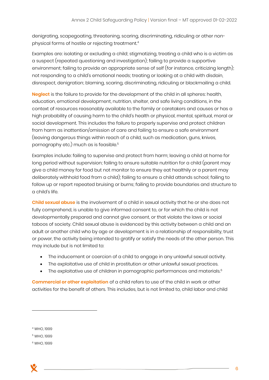denigrating, scapegoating, threatening, scaring, discriminating, ridiculing or other nonphysical forms of hostile or rejecting treatment.<sup>4</sup>

Examples are: isolating or excluding a child; stigmatizing, treating a child who is a victim as a suspect (repeated questioning and investigation); failing to provide a supportive environment; failing to provide an appropriate sense of self (for instance, criticizing length); not responding to a child's emotional needs; treating or looking at a child with disdain, disrespect, denigration; blaming, scaring, discriminating, ridiculing or blackmailing a child.

**Neglect** is the failure to provide for the development of the child in all spheres: health, education, emotional development, nutrition, shelter, and safe living conditions, in the context of resources reasonably available to the family or caretakers and causes or has a high probability of causing harm to the child's health or physical, mental, spiritual, moral or social development. This includes the failure to properly supervise and protect children from harm as inattention/omission of care and failing to ensure a safe environment (leaving dangerous things within reach of a child, such as medication, guns, knives, pornography etc.) much as is feasible.<sup>5</sup>

Examples include: failing to supervise and protect from harm; leaving a child at home for long period without supervision; failing to ensure suitable nutrition for a child (parent may give a child money for food but not monitor to ensure they eat healthily or a parent may deliberately withhold food from a child); failing to ensure a child attends school; failing to follow up or report repeated bruising or burns; failing to provide boundaries and structure to a child's life.

**Child sexual abuse** is the involvement of a child in sexual activity that he or she does not fully comprehend, is unable to give informed consent to, or for which the child is not developmentally prepared and cannot give consent, or that violate the laws or social taboos of society. Child sexual abuse is evidenced by this activity between a child and an adult or another child who by age or development is in a relationship of responsibility, trust or power, the activity being intended to gratify or satisfy the needs of the other person. This may include but is not limited to:

- The inducement or coercion of a child to engage in any unlawful sexual activity.
- The exploitative use of child in prostitution or other unlawful sexual practices.
- The exploitative use of children in pornographic performances and materials.<sup>6</sup>

**Commercial or other exploitation** of a child refers to use of the child in work or other activities for the benefit of others. This includes, but is not limited to, child labor and child

<sup>4</sup> WHO, 1999

<sup>5</sup> WHO, 1999

<sup>6</sup> WHO, 1999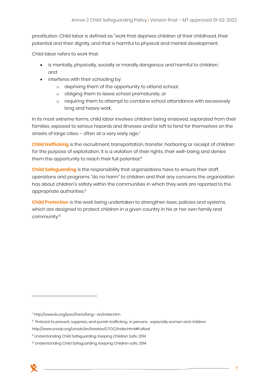prostitution. Child labor is defined as "work that deprives children of their childhood, their potential and their dignity, and that is harmful to physical and mental development.

Child labor refers to work that:

- is mentally, physically, socially or morally dangerous and harmful to children; and
- interferes with their schooling by:
	- o depriving them of the opportunity to attend school;
	- o obliging them to leave school prematurely; or
	- o requiring them to attempt to combine school attendance with excessively long and heavy work.

In its most extreme forms, child labor involves children being enslaved, separated from their families, exposed to serious hazards and illnesses and/or left to fend for themselves on the streets of large cities - often at a very early age.<sup>7</sup>

**Child trafficking** is the recruitment, transportation, transfer, harboring or receipt of children for the purpose of exploitation. It is a violation of their rights, their well-being and denies them the opportunity to reach their full potential.<sup>8</sup>

**Child Safeguarding** is the responsibility that organizations have to ensure their staff, operations and programs "do no harm" to children and that any concerns the organization has about children's safety within the communities in which they work are reported to the appropriate authorities.<sup>9</sup>

**Child Protection** is the work being undertaken to strengthen laws, policies and systems, which are designed to protect children in a given country in his or her own family and community.<sup>10</sup>

<sup>7</sup> http://www.ilo.org/ipec/facts/lang--en/index.htm

 $^{\rm 8}$  Protocol to prevent, suppress, and punish trafficking  $\,$  in persons , especially women and children

http://www.unodc.org/unodc/en/treaties/CTOC/index.html#Fulltext

<sup>9</sup> Understanding Child Safeguarding, Keeping Children Safe, 2014

<sup>&</sup>lt;sup>10</sup> Understanding Child Safeguarding, Keeping Children safe, 2014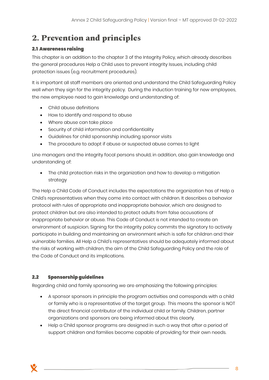# <span id="page-7-0"></span>**2. Prevention and principles**

## <span id="page-7-1"></span>**2.1 Awareness raising**

This chapter is an addition to the chapter 3 of the Integrity Policy, which already describes the general procedures Help a Child uses to prevent integrity Issues, including child protection issues (e.g. recruitment procedures).

It is important all staff members are oriented and understand the Child Safeguarding Policy well when they sign for the integrity policy. During the induction training for new employees, the new employee need to gain knowledge and understanding of:

- Child abuse definitions
- How to identify and respond to abuse
- Where abuse can take place
- Security of child information and confidentiality
- Guidelines for child sponsorship including sponsor visits
- The procedure to adopt if abuse or suspected abuse comes to light

Line managers and the integrity focal persons should, in addition, also gain knowledge and understanding of:

• The child protection risks in the organization and how to develop a mitigation strategy

The Help a Child Code of Conduct includes the expectations the organization has of Help a Child's representatives when they come into contact with children. It describes a behavior protocol with rules of appropriate and inappropriate behavior, which are designed to protect children but are also intended to protect adults from false accusations of inappropriate behavior or abuse. This Code of Conduct is not intended to create an environment of suspicion. Signing for the integrity policy commits the signatory to actively participate in building and maintaining an environment which is safe for children and their vulnerable families. All Help a Child's representatives should be adequately informed about the risks of working with children, the aim of the Child Safeguarding Policy and the role of the Code of Conduct and its implications.

#### <span id="page-7-2"></span> $2.2$ **Sponsorship guidelines**

Regarding child and family sponsoring we are emphasizing the following principles:

- A sponsor sponsors in principle the program activities and corresponds with a child or family who is a representative of the target group. This means the sponsor is NOT the direct financial contributor of the individual child or family. Children, partner organizations and sponsors are being informed about this clearly.
- Help a Child sponsor programs are designed in such a way that after a period of support children and families become capable of providing for their own needs.

8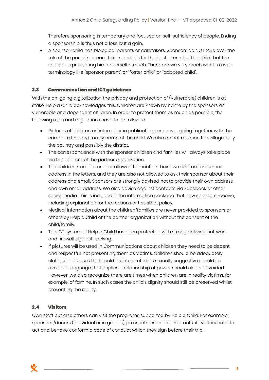Therefore sponsoring is temporary and focused on self-sufficiency of people. Ending a sponsorship is thus not a loss, but a gain.

• A sponsor-child has biological parents or caretakers. Sponsors do NOT take over the role of the parents or care takers and it is for the best interest of the child that the sponsor is presenting him or herself as such. Therefore we very much want to avoid terminology like "sponsor parent" or "foster child" or "adopted child".

#### <span id="page-8-0"></span>**Communication and ICT guidelines**  $2.3$

With the on-going digitalization the privacy and protection of (vulnerable) children is at stake. Help a Child acknowledges this. Children are known by name by the sponsors as vulnerable and dependent children. In order to protect them as much as possible, the following rules and regulations have to be followed:

- Pictures of children on internet or in publications are never going together with the complete first and family name of the child. We also do not mention the village, only the country and possibly the district.
- The correspondence with the sponsor children and families will always take place via the address of the partner organization.
- The children /families are not allowed to mention their own address and email address in the letters, and they are also not allowed to ask their sponsor about their address and email. Sponsors are strongly advised not to provide their own address and own email address. We also advise against contacts via Facebook or other social media. This is included in the information package that new sponsors receive, including explanation for the reasons of this strict policy.
- Medical information about the children/families are never provided to sponsors or others by Help a Child or the partner organization without the consent of the child/family.
- The ICT system of Help a Child has been protected with strong antivirus software and firewall against hacking.
- If pictures will be used in Communications about children they need to be decent and respectful, not presenting them as victims. Children should be adequately clothed and poses that could be interpreted as sexually suggestive should be avoided. Language that implies a relationship of power should also be avoided. However, we also recognize there are times when children are in reality victims, for example, of famine. In such cases the child's dignity should still be preserved whilst presenting the reality.

#### <span id="page-8-1"></span>**Visitors**  $2.4$

Own staff but also others can visit the programs supported by Help a Child. For example, sponsors /donors (individual or in groups), press, interns and consultants. All visitors have to act and behave conform a code of conduct which they sign before their trip.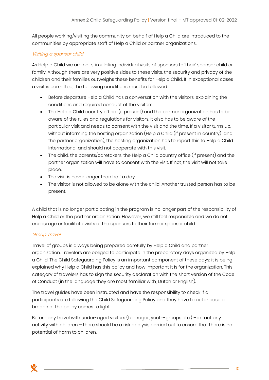All people working/visiting the community on behalf of Help a Child are introduced to the communities by appropriate staff of Help a Child or partner organizations.

#### Visiting a sponsor child

As Help a Child we are not stimulating individual visits of sponsors to 'their' sponsor child or family. Although there are very positive sides to these visits, the security and privacy of the children and their families outweighs these benefits for Help a Child. If in exceptional cases a visit is permitted, the following conditions must be followed:

- Before departure Help a Child has a conversation with the visitors, explaining the conditions and required conduct of the visitors.
- The Help a Child country office (if present) and the partner organization has to be aware of the rules and regulations for visitors. It also has to be aware of the particular visit and needs to consent with the visit and the time. If a visitor turns up, without informing the hosting organization (Help a Child (if present in country) and the partner organization), the hosting organization has to report this to Help a Child International and should not cooperate with this visit.
- The child, the parents/caretakers, the Help a Child country office (if present) and the partner organization will have to consent with the visit. If not, the visit will not take place.
- The visit is never longer than half a day.
- The visitor is not allowed to be alone with the child. Another trusted person has to be present.

A child that is no longer participating in the program is no longer part of the responsibility of Help a Child or the partner organization. However, we still feel responsible and we do not encourage or facilitate visits of the sponsors to their former sponsor child.

#### Group Travel

Travel of groups is always being prepared carefully by Help a Child and partner organization. Travelers are obliged to participate in the preparatory days organized by Help a Child. The Child Safeguarding Policy is an important component of these days: it is being explained why Help a Child has this policy and how important it is for the organization. This category of travelers has to sign the security declaration with the short version of the Code of Conduct (in the language they are most familiar with, Dutch or English).

The travel guides have been instructed and have the responsibility to check if all participants are following the Child Safeguarding Policy and they have to act in case a breach of the policy comes to light.

Before any travel with under-aged visitors (teenager, youth-groups etc.) – in fact any activity with children – there should be a risk analysis carried out to ensure that there is no potential of harm to children.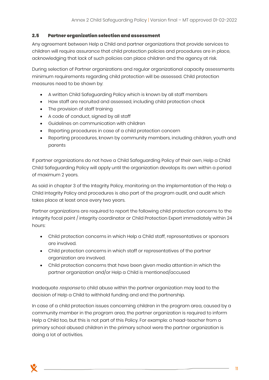#### <span id="page-10-0"></span> $2.5$ **Partner organization selection and assessment**

Any agreement between Help a Child and partner organizations that provide services to children will require assurance that child protection policies and procedures are in place, acknowledging that lack of such policies can place children and the agency at risk.

During selection of Partner organizations and regular organizational capacity assessments minimum requirements regarding child protection will be assessed. Child protection measures need to be shown by:

- A written Child Safeguarding Policy which is known by all staff members
- How staff are recruited and assessed, including child protection check
- The provision of staff training
- A code of conduct, signed by all staff
- Guidelines on communication with children
- Reporting procedures in case of a child protection concern
- Reporting procedures, known by community members, including children, youth and parents

If partner organizations do not have a Child Safeguarding Policy of their own, Help a Child Child Safeguarding Policy will apply until the organization develops its own within a period of maximum 2 years.

As said in chapter 3 of the Integrity Policy, monitoring on the implementation of the Help a Child Integrity Policy and procedures is also part of the program audit, and audit which takes place at least once every two years.

Partner organizations are required to report the following child protection concerns to the integrity focal point / integrity coordinator or Child Protection Expert immediately within 24 hours:

- Child protection concerns in which Help a Child staff, representatives or sponsors are involved.
- Child protection concerns in which staff or representatives of the partner organization are involved.
- Child protection concerns that have been given media attention in which the partner organization and/or Help a Child is mentioned/accused

Inadequate response to child abuse within the partner organization may lead to the decision of Help a Child to withhold funding and end the partnership.

In case of a child protection issues concerning children in the program area, caused by a community member in the program area, the partner organization is required to inform Help a Child too, but this is not part of this Policy. For example: a head-teacher from a primary school abused children in the primary school were the partner organization is doing a lot of activities.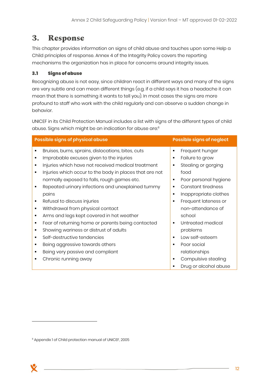## <span id="page-11-0"></span>**3. Response**

This chapter provides information on signs of child abuse and touches upon some Help a Child principles of response. Annex 4 of the Integrity Policy covers the reporting mechanisms the organization has in place for concerns around integrity issues.

#### <span id="page-11-1"></span> $3.1$ **Signs of abuse**

Recognizing abuse is not easy, since children react in different ways and many of the signs are very subtle and can mean different things (e.g. if a child says it has a headache it can mean that there is something it wants to tell you). In most cases the signs are more profound to staff who work with the child regularly and can observe a sudden change in behavior.

UNICEF in its Child Protection Manual includes a list with signs of the different types of child abuse. Signs which might be an indication for abuse are:<sup>11</sup>

| <b>Possible signs of physical abuse</b> |                                                         |                | <b>Possible signs of neglect</b> |
|-----------------------------------------|---------------------------------------------------------|----------------|----------------------------------|
| ٠                                       | Bruises, burns, sprains, dislocations, bites, cuts      | ٠              | Frequent hunger                  |
|                                         | Improbable excuses given to the injuries                | ٠              | Failure to grow                  |
|                                         | Injuries which have not received medical treatment      | ٠              | Stealing or gorging              |
| ٠                                       | Injuries which occur to the body in places that are not |                | food                             |
|                                         | normally exposed to falls, rough games etc.             | ٠              | Poor personal hygiene            |
| ٠                                       | Repeated urinary infections and unexplained tummy       | ٠              | Constant tiredness               |
|                                         | pains                                                   | ٠              | Inappropriate clothes            |
| ٠                                       | Refusal to discuss injuries                             | ٠              | Frequent lateness or             |
| ٠                                       | Withdrawal from physical contact                        |                | non-attendance of                |
| ٠                                       | Arms and legs kept covered in hot weather               |                | school                           |
| ٠                                       | Fear of returning home or parents being contacted       | $\blacksquare$ | Untreated medical                |
| ٠                                       | Showing wariness or distrust of adults                  |                | problems                         |
| ٠                                       | Self-destructive tendencies                             | п              | Low self-esteem                  |
| ٠                                       | Being aggressive towards others                         | $\blacksquare$ | Poor social                      |
|                                         | Being very passive and compliant                        |                | relationships                    |
|                                         | Chronic running away                                    |                | Compulsive stealing              |
|                                         |                                                         |                | Drug or alcohol abuse            |

<sup>&</sup>lt;sup>11</sup> Appendix 1 of Child protection manual of UNICEF, 2005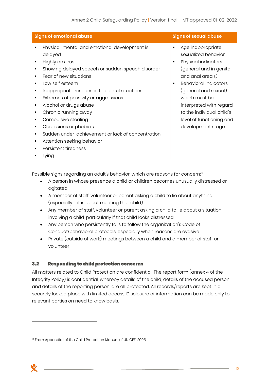| <b>Signs of emotional abuse</b>      |                                                                                                                                                                                                                                                                                                                                                                                                                                                                                             | <b>Signs of sexual abuse</b>                                                                                                                                                                                                                                                                           |
|--------------------------------------|---------------------------------------------------------------------------------------------------------------------------------------------------------------------------------------------------------------------------------------------------------------------------------------------------------------------------------------------------------------------------------------------------------------------------------------------------------------------------------------------|--------------------------------------------------------------------------------------------------------------------------------------------------------------------------------------------------------------------------------------------------------------------------------------------------------|
| ٠<br>٠<br>٠<br>٠<br>٠<br>٠<br>٠<br>٠ | Physical, mental and emotional development is<br>delayed<br>Highly anxious<br>Showing delayed speech or sudden speech disorder<br>Fear of new situations<br>Low self esteem<br>Inappropriate responses to painful situations<br>Extremes of passivity or aggressions<br>Alcohol or drugs abuse<br>Chronic running away<br>Compulsive stealing<br>Obsessions or phobia's<br>Sudden under-achievement or lack of concentration<br>Attention seeking behavior<br>Persistent tiredness<br>Lying | Age inappropriate<br>sexualized behavior<br>Physical indicators<br>٠<br>(general and in genital<br>and anal area's)<br><b>Behavioral indicators</b><br>(general and sexual)<br>which must be<br>interpreted with regard<br>to the individual child's<br>level of functioning and<br>development stage. |

Possible signs regarding an adult's behavior, which are reasons for concern.<sup>12</sup>

- A person in whose presence a child or children becomes unusually distressed or agitated
- A member of staff, volunteer or parent asking a child to lie about anything (especially if it is about meeting that child)
- Any member of staff, volunteer or parent asking a child to lie about a situation involving a child, particularly if that child looks distressed
- Any person who persistently fails to follow the organization's Code of Conduct/behavioral protocols, especially when reasons are evasive
- Private (outside of work) meetings between a child and a member of staff or volunteer

#### <span id="page-12-0"></span> $3.2$ **Responding to child protection concerns**

All matters related to Child Protection are confidential. The report form (annex 4 of the Integrity Policy) is confidential, whereby details of the child, details of the accused person and details of the reporting person, are all protected. All records/reports are kept in a securely locked place with limited access. Disclosure of information can be made only to relevant parties on need to know basis.

<sup>&</sup>lt;sup>12</sup> From Appendix 1 of the Child Protection Manual of UNICEF, 2005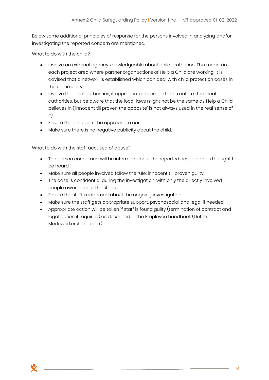Below some additional principles of response for the persons involved in analyzing and/or investigating the reported concern are mentioned.

What to do with the child?

- Involve an external agency knowledgeable about child protection. This means in each project area where partner organizations of Help a Child are working, it is advised that a network is established which can deal with child protection cases in the community.
- Involve the local authorities, if appropriate. It is important to inform the local authorities, but be aware that the local laws might not be the same as Help a Child believes in ('innocent till proven the opposite' is not always used in the real sense of it).
- Ensure the child gets the appropriate care.
- Make sure there is no negative publicity about the child.

What to do with the staff accused of abuse?

- The person concerned will be informed about the reported case and has the right to be heard.
- Make sure all people involved follow the rule: innocent till proven guilty.
- The case is confidential during the investigation, with only the directly involved people aware about the steps.
- Ensure the staff is informed about the ongoing investigation.
- Make sure the staff gets appropriate support, psychosocial and legal if needed.
- Appropriate action will be taken if staff is found guilty (termination of contract and legal action if required) as described in the Employee handbook (Dutch: Medewerkershandboek).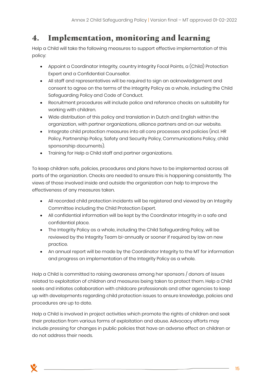## <span id="page-14-0"></span>**4. Implementation, monitoring and learning**

Help a Child will take the following measures to support effective implementation of this policy:

- Appoint a Coordinator Integrity, country Integrity Focal Points, a (Child) Protection Expert and a Confidential Counsellor.
- All staff and representatives will be required to sign an acknowledgement and consent to agree on the terms of the Integrity Policy as a whole, including the Child Safeguarding Policy and Code of Conduct.
- Recruitment procedures will include police and reference checks on suitability for working with children.
- Wide distribution of this policy and translation in Dutch and English within the organization, with partner organizations, alliance partners and on our website.
- Integrate child protection measures into all core processes and policies (incl. HR Policy, Partnership Policy, Safety and Security Policy, Communications Policy, child sponsorship documents).
- Training for Help a Child staff and partner organizations.

To keep children safe, policies, procedures and plans have to be implemented across all parts of the organization. Checks are needed to ensure this is happening consistently. The views of those involved inside and outside the organization can help to improve the effectiveness of any measures taken.

- All recorded child protection incidents will be registered and viewed by an Integrity Committee including the Child Protection Expert.
- All confidential information will be kept by the Coordinator Integrity in a safe and confidential place.
- The Integrity Policy as a whole, including the Child Safeguarding Policy, will be reviewed by the Integrity Team bi-annually or sooner if required by law on new practice.
- An annual report will be made by the Coordinator Integrity to the MT for information and progress on implementation of the Integrity Policy as a whole.

Help a Child is committed to raising awareness among her sponsors / donors of issues related to exploitation of children and measures being taken to protect them. Help a Child seeks and initiates collaboration with childcare professionals and other agencies to keep up with developments regarding child protection issues to ensure knowledge, policies and procedures are up to date.

Help a Child is involved in project activities which promote the rights of children and seek their protection from various forms of exploitation and abuse. Advocacy efforts may include pressing for changes in public policies that have an adverse effect on children or do not address their needs.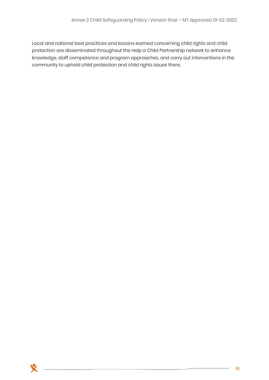Local and national best practices and lessons learned concerning child rights and child protection are disseminated throughout the Help a Child Partnership network to enhance knowledge, staff competence and program approaches, and carry out interventions in the community to uphold child protection and child rights issues there.